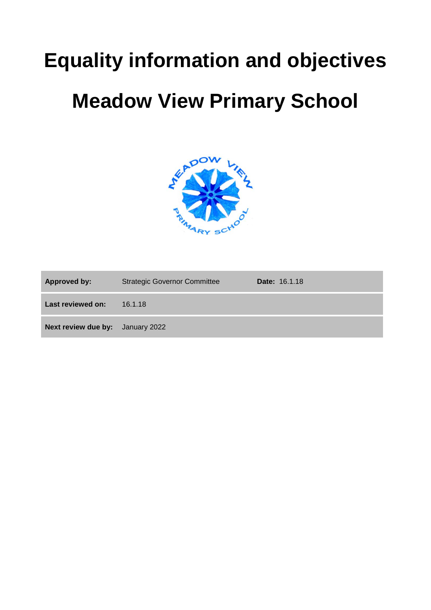# **Equality information and objectives**

## **Meadow View Primary School**



| <b>Approved by:</b>                     | <b>Strategic Governor Committee</b> | <b>Date: 16.1.18</b> |
|-----------------------------------------|-------------------------------------|----------------------|
| Last reviewed on:                       | 16.1.18                             |                      |
| <b>Next review due by:</b> January 2022 |                                     |                      |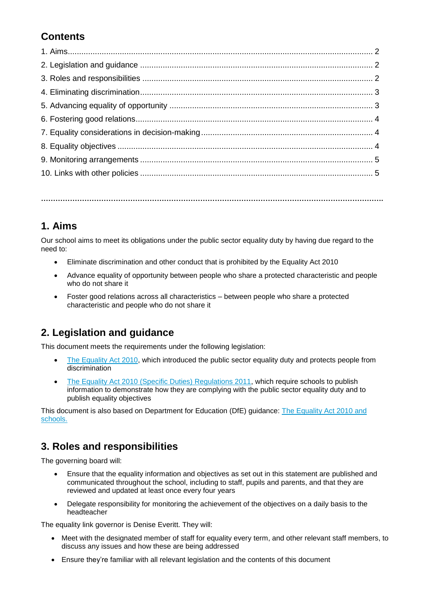## **Contents**

**…………………………………………………………………………………………………………………………….**

#### **1. Aims**

Our school aims to meet its obligations under the public sector equality duty by having due regard to the need to:

- Eliminate discrimination and other conduct that is prohibited by the Equality Act 2010
- Advance equality of opportunity between people who share a protected characteristic and people who do not share it
- Foster good relations across all characteristics between people who share a protected characteristic and people who do not share it

#### **2. Legislation and guidance**

This document meets the requirements under the following legislation:

- [The Equality Act](http://www.legislation.gov.uk/ukpga/2010/15/contents) 2010, which introduced the public sector equality duty and protects people from discrimination
- [The Equality Act 2010 \(Specific Duties\) Regulations 2011,](http://www.legislation.gov.uk/uksi/2011/2260/contents/made) which require schools to publish information to demonstrate how they are complying with the public sector equality duty and to publish equality objectives

This document is also based on Department for Education (DfE) guidance: [The Equality Act 2010 and](https://www.gov.uk/government/uploads/system/uploads/attachment_data/file/315587/Equality_Act_Advice_Final.pdf)  [schools.](https://www.gov.uk/government/uploads/system/uploads/attachment_data/file/315587/Equality_Act_Advice_Final.pdf) 

#### **3. Roles and responsibilities**

The governing board will:

- Ensure that the equality information and objectives as set out in this statement are published and communicated throughout the school, including to staff, pupils and parents, and that they are reviewed and updated at least once every four years
- Delegate responsibility for monitoring the achievement of the objectives on a daily basis to the headteacher

The equality link governor is Denise Everitt. They will:

- Meet with the designated member of staff for equality every term, and other relevant staff members, to discuss any issues and how these are being addressed
- Ensure they're familiar with all relevant legislation and the contents of this document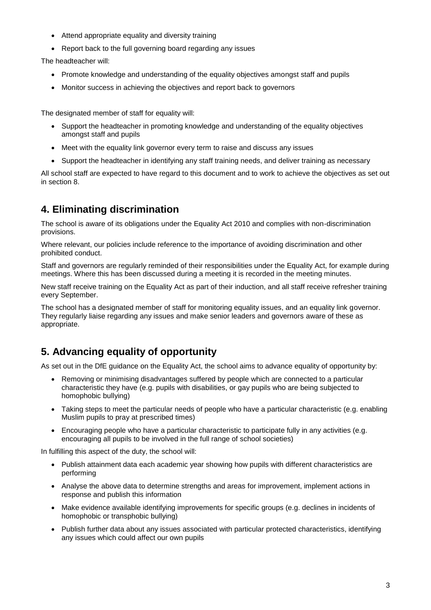- Attend appropriate equality and diversity training
- Report back to the full governing board regarding any issues

The headteacher will:

- Promote knowledge and understanding of the equality objectives amongst staff and pupils
- Monitor success in achieving the objectives and report back to governors

The designated member of staff for equality will:

- Support the headteacher in promoting knowledge and understanding of the equality objectives amongst staff and pupils
- Meet with the equality link governor every term to raise and discuss any issues
- Support the headteacher in identifying any staff training needs, and deliver training as necessary

All school staff are expected to have regard to this document and to work to achieve the objectives as set out in section 8.

#### **4. Eliminating discrimination**

The school is aware of its obligations under the Equality Act 2010 and complies with non-discrimination provisions.

Where relevant, our policies include reference to the importance of avoiding discrimination and other prohibited conduct.

Staff and governors are regularly reminded of their responsibilities under the Equality Act, for example during meetings. Where this has been discussed during a meeting it is recorded in the meeting minutes.

New staff receive training on the Equality Act as part of their induction, and all staff receive refresher training every September.

The school has a designated member of staff for monitoring equality issues, and an equality link governor. They regularly liaise regarding any issues and make senior leaders and governors aware of these as appropriate.

#### **5. Advancing equality of opportunity**

As set out in the DfE guidance on the Equality Act, the school aims to advance equality of opportunity by:

- Removing or minimising disadvantages suffered by people which are connected to a particular characteristic they have (e.g. pupils with disabilities, or gay pupils who are being subjected to homophobic bullying)
- Taking steps to meet the particular needs of people who have a particular characteristic (e.g. enabling Muslim pupils to pray at prescribed times)
- Encouraging people who have a particular characteristic to participate fully in any activities (e.g. encouraging all pupils to be involved in the full range of school societies)

In fulfilling this aspect of the duty, the school will:

- Publish attainment data each academic year showing how pupils with different characteristics are performing
- Analyse the above data to determine strengths and areas for improvement, implement actions in response and publish this information
- Make evidence available identifying improvements for specific groups (e.g. declines in incidents of homophobic or transphobic bullying)
- Publish further data about any issues associated with particular protected characteristics, identifying any issues which could affect our own pupils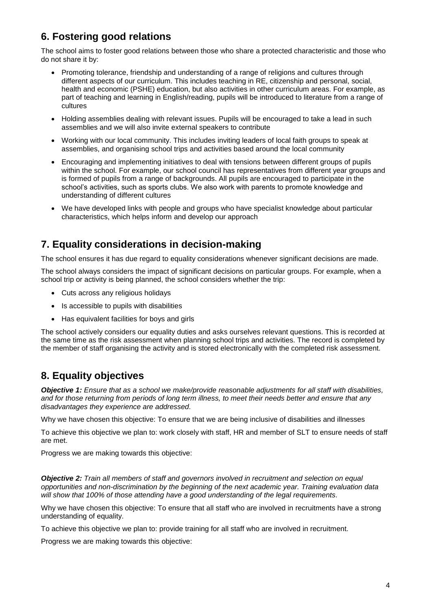### **6. Fostering good relations**

The school aims to foster good relations between those who share a protected characteristic and those who do not share it by:

- Promoting tolerance, friendship and understanding of a range of religions and cultures through different aspects of our curriculum. This includes teaching in RE, citizenship and personal, social, health and economic (PSHE) education, but also activities in other curriculum areas. For example, as part of teaching and learning in English/reading, pupils will be introduced to literature from a range of cultures
- Holding assemblies dealing with relevant issues. Pupils will be encouraged to take a lead in such assemblies and we will also invite external speakers to contribute
- Working with our local community. This includes inviting leaders of local faith groups to speak at assemblies, and organising school trips and activities based around the local community
- Encouraging and implementing initiatives to deal with tensions between different groups of pupils within the school. For example, our school council has representatives from different year groups and is formed of pupils from a range of backgrounds. All pupils are encouraged to participate in the school's activities, such as sports clubs. We also work with parents to promote knowledge and understanding of different cultures
- We have developed links with people and groups who have specialist knowledge about particular characteristics, which helps inform and develop our approach

#### **7. Equality considerations in decision-making**

The school ensures it has due regard to equality considerations whenever significant decisions are made.

The school always considers the impact of significant decisions on particular groups. For example, when a school trip or activity is being planned, the school considers whether the trip:

- Cuts across any religious holidays
- Is accessible to pupils with disabilities
- Has equivalent facilities for boys and girls

The school actively considers our equality duties and asks ourselves relevant questions. This is recorded at the same time as the risk assessment when planning school trips and activities. The record is completed by the member of staff organising the activity and is stored electronically with the completed risk assessment.

#### **8. Equality objectives**

*Objective 1: Ensure that as a school we make/provide reasonable adjustments for all staff with disabilities, and for those returning from periods of long term illness, to meet their needs better and ensure that any disadvantages they experience are addressed.*

Why we have chosen this objective: To ensure that we are being inclusive of disabilities and illnesses

To achieve this objective we plan to: work closely with staff, HR and member of SLT to ensure needs of staff are met.

Progress we are making towards this objective:

*Objective 2: Train all members of staff and governors involved in recruitment and selection on equal opportunities and non-discrimination by the beginning of the next academic year. Training evaluation data will show that 100% of those attending have a good understanding of the legal requirements.*

Why we have chosen this objective: To ensure that all staff who are involved in recruitments have a strong understanding of equality.

To achieve this objective we plan to: provide training for all staff who are involved in recruitment.

Progress we are making towards this objective: